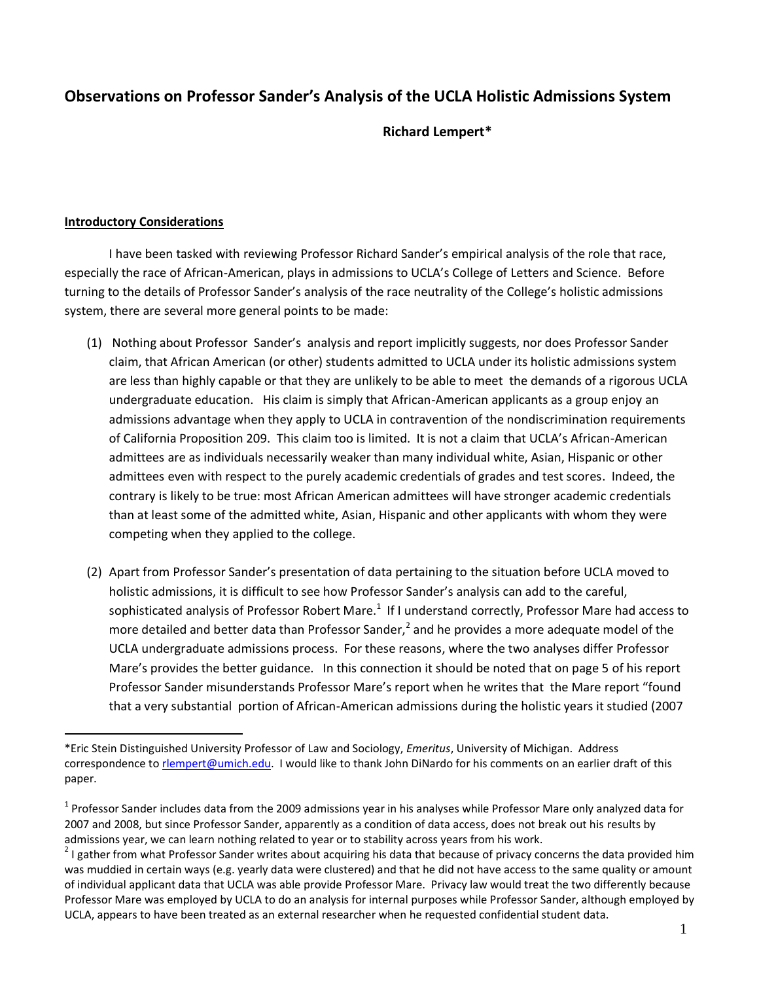## **Observations on Professor Sander's Analysis of the UCLA Holistic Admissions System**

 **Richard Lempert\***

#### **Introductory Considerations**

 $\overline{a}$ 

I have been tasked with reviewing Professor Richard Sander's empirical analysis of the role that race, especially the race of African-American, plays in admissions to UCLA's College of Letters and Science. Before turning to the details of Professor Sander's analysis of the race neutrality of the College's holistic admissions system, there are several more general points to be made:

- (1) Nothing about Professor Sander's analysis and report implicitly suggests, nor does Professor Sander claim, that African American (or other) students admitted to UCLA under its holistic admissions system are less than highly capable or that they are unlikely to be able to meet the demands of a rigorous UCLA undergraduate education. His claim is simply that African-American applicants as a group enjoy an admissions advantage when they apply to UCLA in contravention of the nondiscrimination requirements of California Proposition 209. This claim too is limited. It is not a claim that UCLA's African-American admittees are as individuals necessarily weaker than many individual white, Asian, Hispanic or other admittees even with respect to the purely academic credentials of grades and test scores. Indeed, the contrary is likely to be true: most African American admittees will have stronger academic credentials than at least some of the admitted white, Asian, Hispanic and other applicants with whom they were competing when they applied to the college.
- (2) Apart from Professor Sander's presentation of data pertaining to the situation before UCLA moved to holistic admissions, it is difficult to see how Professor Sander's analysis can add to the careful, sophisticated analysis of Professor Robert Mare.<sup>1</sup> If I understand correctly, Professor Mare had access to more detailed and better data than Professor Sander,<sup>2</sup> and he provides a more adequate model of the UCLA undergraduate admissions process. For these reasons, where the two analyses differ Professor Mare's provides the better guidance. In this connection it should be noted that on page 5 of his report Professor Sander misunderstands Professor Mare's report when he writes that the Mare report "found that a very substantial portion of African-American admissions during the holistic years it studied (2007

<sup>\*</sup>Eric Stein Distinguished University Professor of Law and Sociology, *Emeritus*, University of Michigan. Address correspondence to [rlempert@umich.edu.](mailto:rlempert@umich.edu) I would like to thank John DiNardo for his comments on an earlier draft of this paper.

 $^1$  Professor Sander includes data from the 2009 admissions year in his analyses while Professor Mare only analyzed data for 2007 and 2008, but since Professor Sander, apparently as a condition of data access, does not break out his results by admissions year, we can learn nothing related to year or to stability across years from his work.

 $2$  I gather from what Professor Sander writes about acquiring his data that because of privacy concerns the data provided him was muddied in certain ways (e.g. yearly data were clustered) and that he did not have access to the same quality or amount of individual applicant data that UCLA was able provide Professor Mare. Privacy law would treat the two differently because Professor Mare was employed by UCLA to do an analysis for internal purposes while Professor Sander, although employed by UCLA, appears to have been treated as an external researcher when he requested confidential student data.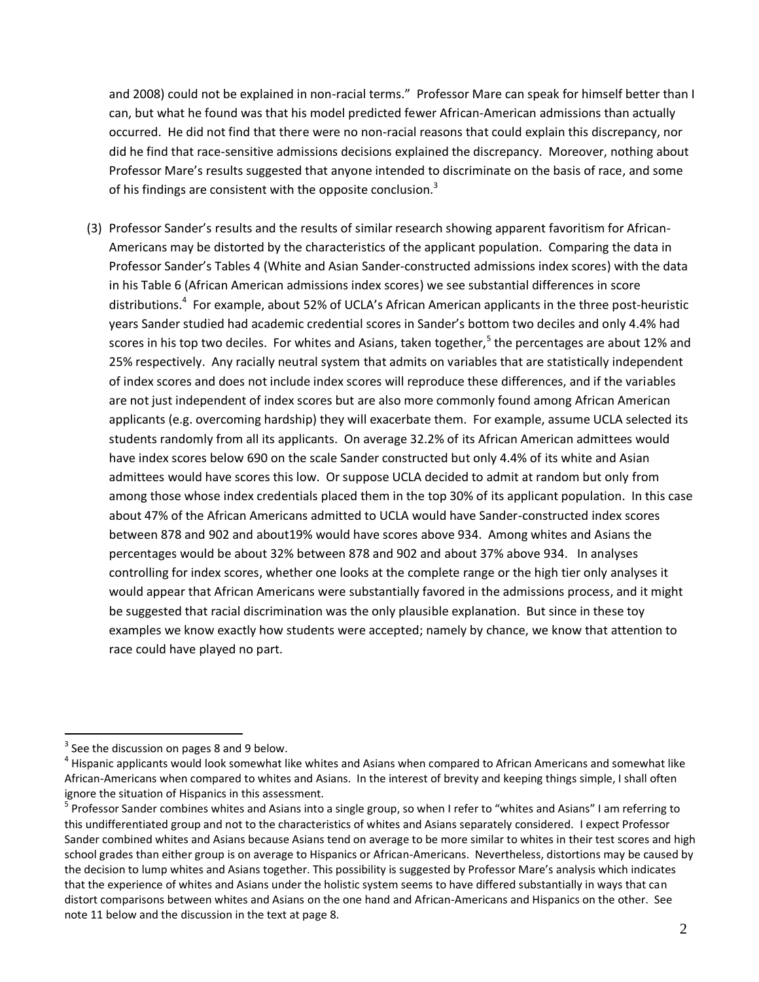and 2008) could not be explained in non-racial terms." Professor Mare can speak for himself better than I can, but what he found was that his model predicted fewer African-American admissions than actually occurred. He did not find that there were no non-racial reasons that could explain this discrepancy, nor did he find that race-sensitive admissions decisions explained the discrepancy. Moreover, nothing about Professor Mare's results suggested that anyone intended to discriminate on the basis of race, and some of his findings are consistent with the opposite conclusion.<sup>3</sup>

(3) Professor Sander's results and the results of similar research showing apparent favoritism for African-Americans may be distorted by the characteristics of the applicant population. Comparing the data in Professor Sander's Tables 4 (White and Asian Sander-constructed admissions index scores) with the data in his Table 6 (African American admissions index scores) we see substantial differences in score distributions.<sup>4</sup> For example, about 52% of UCLA's African American applicants in the three post-heuristic years Sander studied had academic credential scores in Sander's bottom two deciles and only 4.4% had scores in his top two deciles. For whites and Asians, taken together,<sup>5</sup> the percentages are about 12% and 25% respectively. Any racially neutral system that admits on variables that are statistically independent of index scores and does not include index scores will reproduce these differences, and if the variables are not just independent of index scores but are also more commonly found among African American applicants (e.g. overcoming hardship) they will exacerbate them. For example, assume UCLA selected its students randomly from all its applicants. On average 32.2% of its African American admittees would have index scores below 690 on the scale Sander constructed but only 4.4% of its white and Asian admittees would have scores this low. Or suppose UCLA decided to admit at random but only from among those whose index credentials placed them in the top 30% of its applicant population. In this case about 47% of the African Americans admitted to UCLA would have Sander-constructed index scores between 878 and 902 and about19% would have scores above 934. Among whites and Asians the percentages would be about 32% between 878 and 902 and about 37% above 934. In analyses controlling for index scores, whether one looks at the complete range or the high tier only analyses it would appear that African Americans were substantially favored in the admissions process, and it might be suggested that racial discrimination was the only plausible explanation. But since in these toy examples we know exactly how students were accepted; namely by chance, we know that attention to race could have played no part.

 $3$  See the discussion on pages 8 and 9 below.

<sup>&</sup>lt;sup>4</sup> Hispanic applicants would look somewhat like whites and Asians when compared to African Americans and somewhat like African-Americans when compared to whites and Asians. In the interest of brevity and keeping things simple, I shall often ignore the situation of Hispanics in this assessment.

<sup>&</sup>lt;sup>5</sup> Professor Sander combines whites and Asians into a single group, so when I refer to "whites and Asians" I am referring to this undifferentiated group and not to the characteristics of whites and Asians separately considered. I expect Professor Sander combined whites and Asians because Asians tend on average to be more similar to whites in their test scores and high school grades than either group is on average to Hispanics or African-Americans. Nevertheless, distortions may be caused by the decision to lump whites and Asians together. This possibility is suggested by Professor Mare's analysis which indicates that the experience of whites and Asians under the holistic system seems to have differed substantially in ways that can distort comparisons between whites and Asians on the one hand and African-Americans and Hispanics on the other. See note 11 below and the discussion in the text at page 8.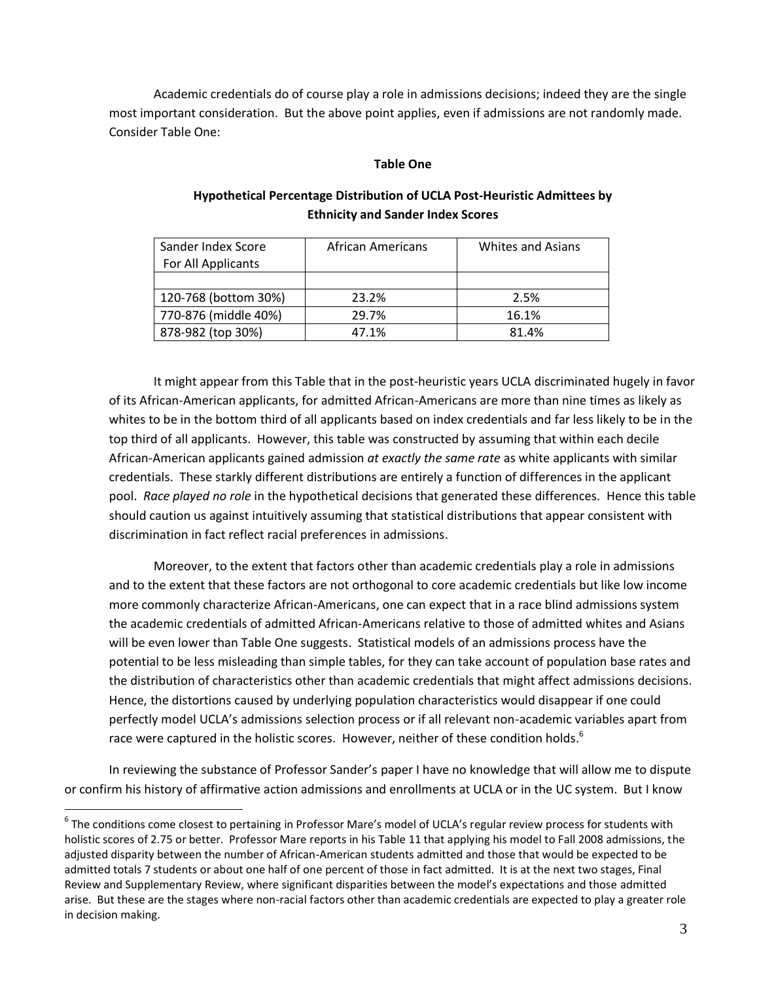Academic credentials do of course play a role in admissions decisions; indeed they are the single most important consideration. But the above point applies, even if admissions are not randomly made. Consider Table One:

#### **Table One**

| Sander Index Score   | African Americans | Whites and Asians |  |  |
|----------------------|-------------------|-------------------|--|--|
| For All Applicants   |                   |                   |  |  |
|                      |                   |                   |  |  |
| 120-768 (bottom 30%) | 23.2%             | 2.5%              |  |  |
| 770-876 (middle 40%) | 29.7%             | 16.1%             |  |  |
| 878-982 (top 30%)    | 47.1%             | 81.4%             |  |  |

## **Hypothetical Percentage Distribution of UCLA Post-Heuristic Admittees by Ethnicity and Sander Index Scores**

It might appear from this Table that in the post-heuristic years UCLA discriminated hugely in favor of its African-American applicants, for admitted African-Americans are more than nine times as likely as whites to be in the bottom third of all applicants based on index credentials and far less likely to be in the top third of all applicants. However, this table was constructed by assuming that within each decile African-American applicants gained admission *at exactly the same rate* as white applicants with similar credentials. These starkly different distributions are entirely a function of differences in the applicant pool. *Race played no role* in the hypothetical decisions that generated these differences. Hence this table should caution us against intuitively assuming that statistical distributions that appear consistent with discrimination in fact reflect racial preferences in admissions.

Moreover, to the extent that factors other than academic credentials play a role in admissions and to the extent that these factors are not orthogonal to core academic credentials but like low income more commonly characterize African-Americans, one can expect that in a race blind admissions system the academic credentials of admitted African-Americans relative to those of admitted whites and Asians will be even lower than Table One suggests. Statistical models of an admissions process have the potential to be less misleading than simple tables, for they can take account of population base rates and the distribution of characteristics other than academic credentials that might affect admissions decisions. Hence, the distortions caused by underlying population characteristics would disappear if one could perfectly model UCLA's admissions selection process or if all relevant non-academic variables apart from race were captured in the holistic scores. However, neither of these condition holds. $6$ 

In reviewing the substance of Professor Sander's paper I have no knowledge that will allow me to dispute or confirm his history of affirmative action admissions and enrollments at UCLA or in the UC system. But I know

<sup>&</sup>lt;sup>6</sup> The conditions come closest to pertaining in Professor Mare's model of UCLA's regular review process for students with holistic scores of 2.75 or better. Professor Mare reports in his Table 11 that applying his model to Fall 2008 admissions, the adjusted disparity between the number of African-American students admitted and those that would be expected to be admitted totals 7 students or about one half of one percent of those in fact admitted. It is at the next two stages, Final Review and Supplementary Review, where significant disparities between the model's expectations and those admitted arise. But these are the stages where non-racial factors other than academic credentials are expected to play a greater role in decision making.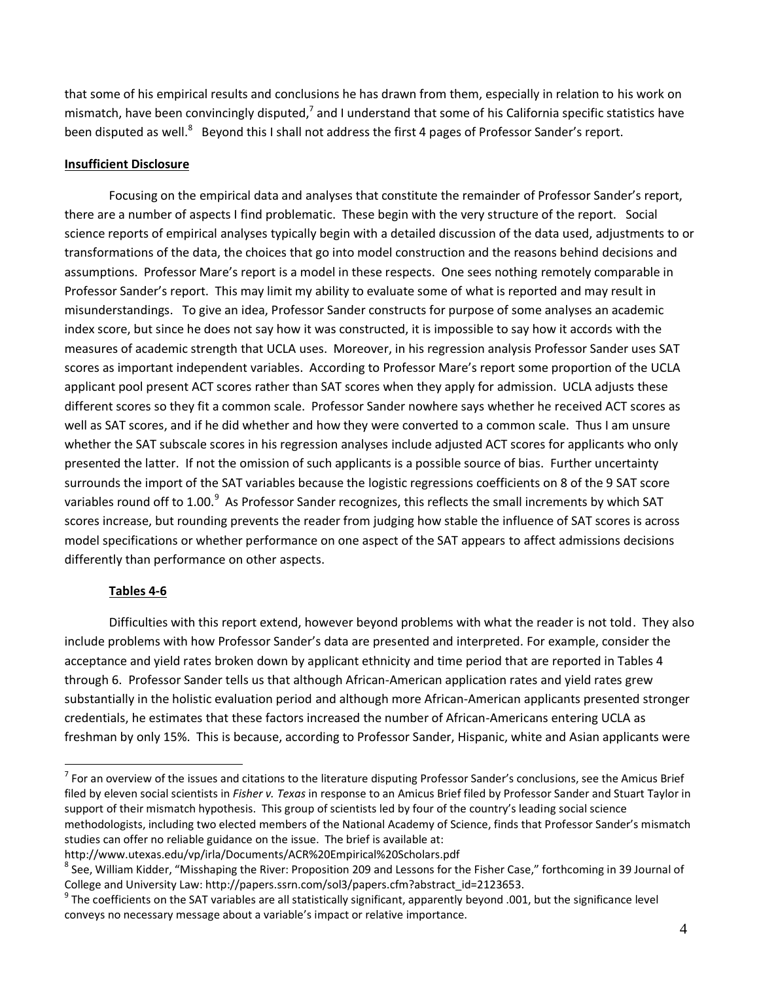that some of his empirical results and conclusions he has drawn from them, especially in relation to his work on mismatch, have been convincingly disputed,<sup>7</sup> and I understand that some of his California specific statistics have been disputed as well.<sup>8</sup> Beyond this I shall not address the first 4 pages of Professor Sander's report.

#### **Insufficient Disclosure**

Focusing on the empirical data and analyses that constitute the remainder of Professor Sander's report, there are a number of aspects I find problematic. These begin with the very structure of the report. Social science reports of empirical analyses typically begin with a detailed discussion of the data used, adjustments to or transformations of the data, the choices that go into model construction and the reasons behind decisions and assumptions. Professor Mare's report is a model in these respects. One sees nothing remotely comparable in Professor Sander's report. This may limit my ability to evaluate some of what is reported and may result in misunderstandings. To give an idea, Professor Sander constructs for purpose of some analyses an academic index score, but since he does not say how it was constructed, it is impossible to say how it accords with the measures of academic strength that UCLA uses. Moreover, in his regression analysis Professor Sander uses SAT scores as important independent variables. According to Professor Mare's report some proportion of the UCLA applicant pool present ACT scores rather than SAT scores when they apply for admission. UCLA adjusts these different scores so they fit a common scale. Professor Sander nowhere says whether he received ACT scores as well as SAT scores, and if he did whether and how they were converted to a common scale. Thus I am unsure whether the SAT subscale scores in his regression analyses include adjusted ACT scores for applicants who only presented the latter. If not the omission of such applicants is a possible source of bias. Further uncertainty surrounds the import of the SAT variables because the logistic regressions coefficients on 8 of the 9 SAT score variables round off to 1.00.<sup>9</sup> As Professor Sander recognizes, this reflects the small increments by which SAT scores increase, but rounding prevents the reader from judging how stable the influence of SAT scores is across model specifications or whether performance on one aspect of the SAT appears to affect admissions decisions differently than performance on other aspects.

### **Tables 4-6**

Difficulties with this report extend, however beyond problems with what the reader is not told. They also include problems with how Professor Sander's data are presented and interpreted. For example, consider the acceptance and yield rates broken down by applicant ethnicity and time period that are reported in Tables 4 through 6. Professor Sander tells us that although African-American application rates and yield rates grew substantially in the holistic evaluation period and although more African-American applicants presented stronger credentials, he estimates that these factors increased the number of African-Americans entering UCLA as freshman by only 15%. This is because, according to Professor Sander, Hispanic, white and Asian applicants were

The an overview of the issues and citations to the literature disputing Professor Sander's conclusions, see the Amicus Brief<br>The an overview of the issues and citations to the literature disputing Professor Sander's conclu filed by eleven social scientists in *Fisher v. Texas* in response to an Amicus Brief filed by Professor Sander and Stuart Taylor in support of their mismatch hypothesis. This group of scientists led by four of the country's leading social science methodologists, including two elected members of the National Academy of Science, finds that Professor Sander's mismatch studies can offer no reliable guidance on the issue. The brief is available at:

http://www.utexas.edu/vp/irla/Documents/ACR%20Empirical%20Scholars.pdf

<sup>&</sup>lt;sup>8</sup> See, William Kidder, "Misshaping the River: Proposition 209 and Lessons for the Fisher Case," forthcoming in 39 Journal of College and University Law: http://papers.ssrn.com/sol3/papers.cfm?abstract\_id=2123653.

 $9$  The coefficients on the SAT variables are all statistically significant, apparently beyond .001, but the significance level conveys no necessary message about a variable's impact or relative importance.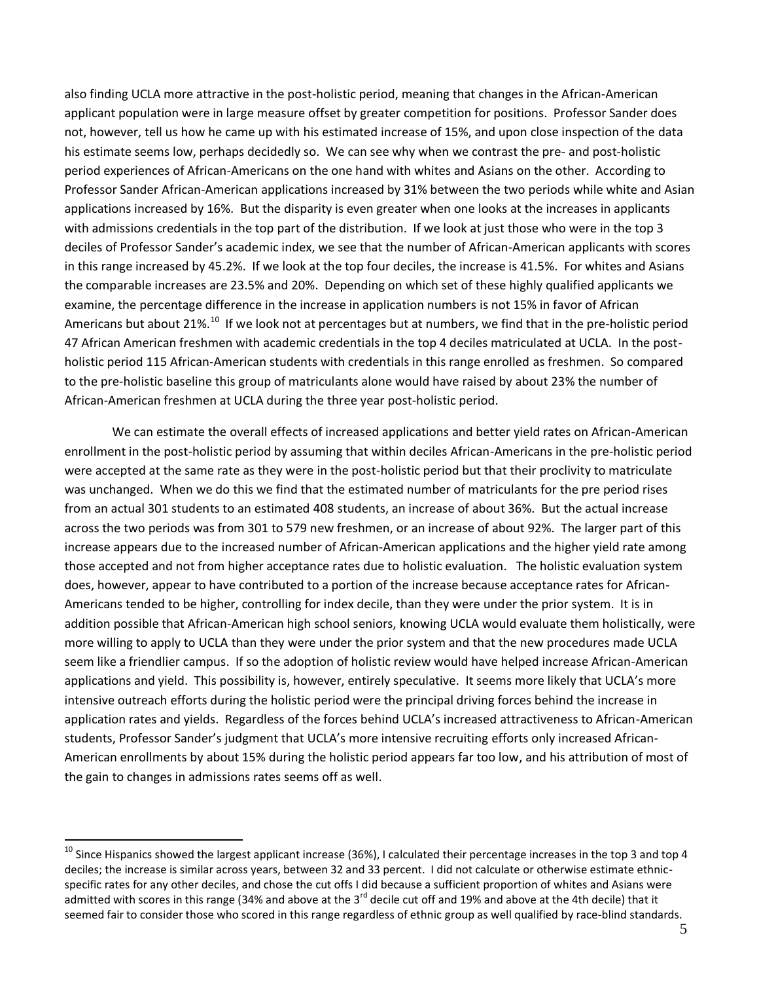also finding UCLA more attractive in the post-holistic period, meaning that changes in the African-American applicant population were in large measure offset by greater competition for positions. Professor Sander does not, however, tell us how he came up with his estimated increase of 15%, and upon close inspection of the data his estimate seems low, perhaps decidedly so. We can see why when we contrast the pre- and post-holistic period experiences of African-Americans on the one hand with whites and Asians on the other. According to Professor Sander African-American applications increased by 31% between the two periods while white and Asian applications increased by 16%. But the disparity is even greater when one looks at the increases in applicants with admissions credentials in the top part of the distribution. If we look at just those who were in the top 3 deciles of Professor Sander's academic index, we see that the number of African-American applicants with scores in this range increased by 45.2%. If we look at the top four deciles, the increase is 41.5%. For whites and Asians the comparable increases are 23.5% and 20%. Depending on which set of these highly qualified applicants we examine, the percentage difference in the increase in application numbers is not 15% in favor of African Americans but about 21%.<sup>10</sup> If we look not at percentages but at numbers, we find that in the pre-holistic period 47 African American freshmen with academic credentials in the top 4 deciles matriculated at UCLA. In the postholistic period 115 African-American students with credentials in this range enrolled as freshmen. So compared to the pre-holistic baseline this group of matriculants alone would have raised by about 23% the number of African-American freshmen at UCLA during the three year post-holistic period.

We can estimate the overall effects of increased applications and better yield rates on African-American enrollment in the post-holistic period by assuming that within deciles African-Americans in the pre-holistic period were accepted at the same rate as they were in the post-holistic period but that their proclivity to matriculate was unchanged. When we do this we find that the estimated number of matriculants for the pre period rises from an actual 301 students to an estimated 408 students, an increase of about 36%. But the actual increase across the two periods was from 301 to 579 new freshmen, or an increase of about 92%. The larger part of this increase appears due to the increased number of African-American applications and the higher yield rate among those accepted and not from higher acceptance rates due to holistic evaluation. The holistic evaluation system does, however, appear to have contributed to a portion of the increase because acceptance rates for African-Americans tended to be higher, controlling for index decile, than they were under the prior system. It is in addition possible that African-American high school seniors, knowing UCLA would evaluate them holistically, were more willing to apply to UCLA than they were under the prior system and that the new procedures made UCLA seem like a friendlier campus. If so the adoption of holistic review would have helped increase African-American applications and yield. This possibility is, however, entirely speculative. It seems more likely that UCLA's more intensive outreach efforts during the holistic period were the principal driving forces behind the increase in application rates and yields. Regardless of the forces behind UCLA's increased attractiveness to African-American students, Professor Sander's judgment that UCLA's more intensive recruiting efforts only increased African-American enrollments by about 15% during the holistic period appears far too low, and his attribution of most of the gain to changes in admissions rates seems off as well.

 $10$  Since Hispanics showed the largest applicant increase (36%), I calculated their percentage increases in the top 3 and top 4 deciles; the increase is similar across years, between 32 and 33 percent. I did not calculate or otherwise estimate ethnicspecific rates for any other deciles, and chose the cut offs I did because a sufficient proportion of whites and Asians were admitted with scores in this range (34% and above at the 3 $^{\text{rd}}$  decile cut off and 19% and above at the 4th decile) that it seemed fair to consider those who scored in this range regardless of ethnic group as well qualified by race-blind standards.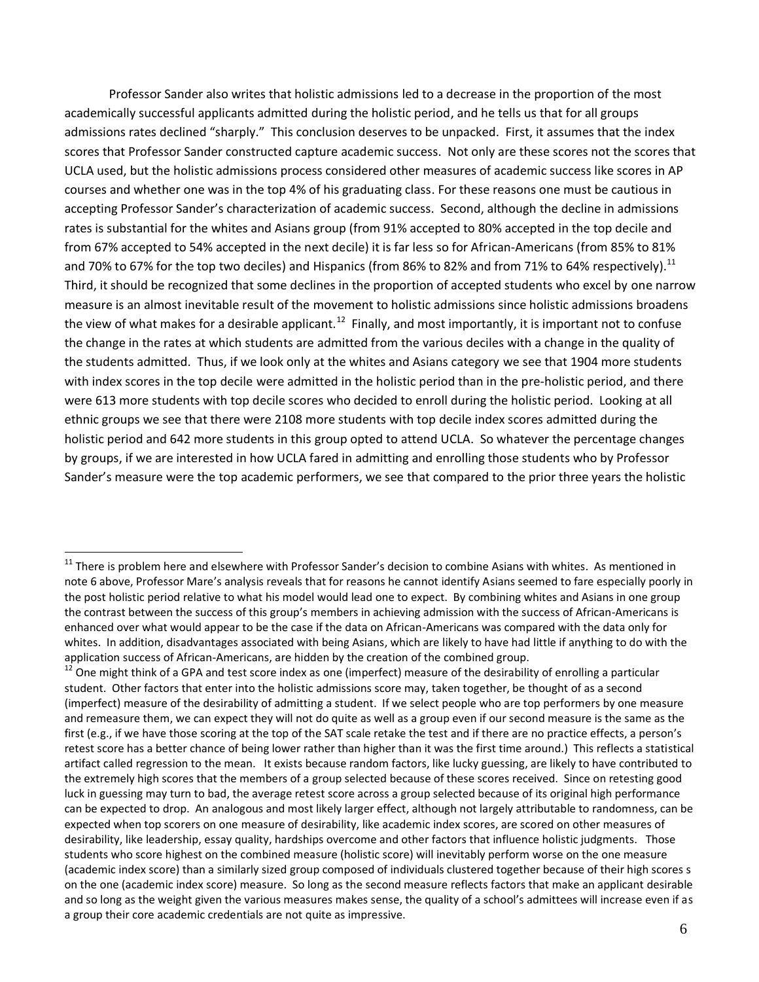Professor Sander also writes that holistic admissions led to a decrease in the proportion of the most academically successful applicants admitted during the holistic period, and he tells us that for all groups admissions rates declined "sharply." This conclusion deserves to be unpacked. First, it assumes that the index scores that Professor Sander constructed capture academic success. Not only are these scores not the scores that UCLA used, but the holistic admissions process considered other measures of academic success like scores in AP courses and whether one was in the top 4% of his graduating class. For these reasons one must be cautious in accepting Professor Sander's characterization of academic success. Second, although the decline in admissions rates is substantial for the whites and Asians group (from 91% accepted to 80% accepted in the top decile and from 67% accepted to 54% accepted in the next decile) it is far less so for African-Americans (from 85% to 81% and 70% to 67% for the top two deciles) and Hispanics (from 86% to 82% and from 71% to 64% respectively).<sup>11</sup> Third, it should be recognized that some declines in the proportion of accepted students who excel by one narrow measure is an almost inevitable result of the movement to holistic admissions since holistic admissions broadens the view of what makes for a desirable applicant.<sup>12</sup> Finally, and most importantly, it is important not to confuse the change in the rates at which students are admitted from the various deciles with a change in the quality of the students admitted. Thus, if we look only at the whites and Asians category we see that 1904 more students with index scores in the top decile were admitted in the holistic period than in the pre-holistic period, and there were 613 more students with top decile scores who decided to enroll during the holistic period. Looking at all ethnic groups we see that there were 2108 more students with top decile index scores admitted during the holistic period and 642 more students in this group opted to attend UCLA. So whatever the percentage changes by groups, if we are interested in how UCLA fared in admitting and enrolling those students who by Professor Sander's measure were the top academic performers, we see that compared to the prior three years the holistic

 $11$  There is problem here and elsewhere with Professor Sander's decision to combine Asians with whites. As mentioned in note 6 above, Professor Mare's analysis reveals that for reasons he cannot identify Asians seemed to fare especially poorly in the post holistic period relative to what his model would lead one to expect. By combining whites and Asians in one group the contrast between the success of this group's members in achieving admission with the success of African-Americans is enhanced over what would appear to be the case if the data on African-Americans was compared with the data only for whites. In addition, disadvantages associated with being Asians, which are likely to have had little if anything to do with the application success of African-Americans, are hidden by the creation of the combined group.

<sup>12</sup> One might think of a GPA and test score index as one (imperfect) measure of the desirability of enrolling a particular student. Other factors that enter into the holistic admissions score may, taken together, be thought of as a second (imperfect) measure of the desirability of admitting a student. If we select people who are top performers by one measure and remeasure them, we can expect they will not do quite as well as a group even if our second measure is the same as the first (e.g., if we have those scoring at the top of the SAT scale retake the test and if there are no practice effects, a person's retest score has a better chance of being lower rather than higher than it was the first time around.) This reflects a statistical artifact called regression to the mean. It exists because random factors, like lucky guessing, are likely to have contributed to the extremely high scores that the members of a group selected because of these scores received. Since on retesting good luck in guessing may turn to bad, the average retest score across a group selected because of its original high performance can be expected to drop. An analogous and most likely larger effect, although not largely attributable to randomness, can be expected when top scorers on one measure of desirability, like academic index scores, are scored on other measures of desirability, like leadership, essay quality, hardships overcome and other factors that influence holistic judgments. Those students who score highest on the combined measure (holistic score) will inevitably perform worse on the one measure (academic index score) than a similarly sized group composed of individuals clustered together because of their high scores s on the one (academic index score) measure. So long as the second measure reflects factors that make an applicant desirable and so long as the weight given the various measures makes sense, the quality of a school's admittees will increase even if as a group their core academic credentials are not quite as impressive.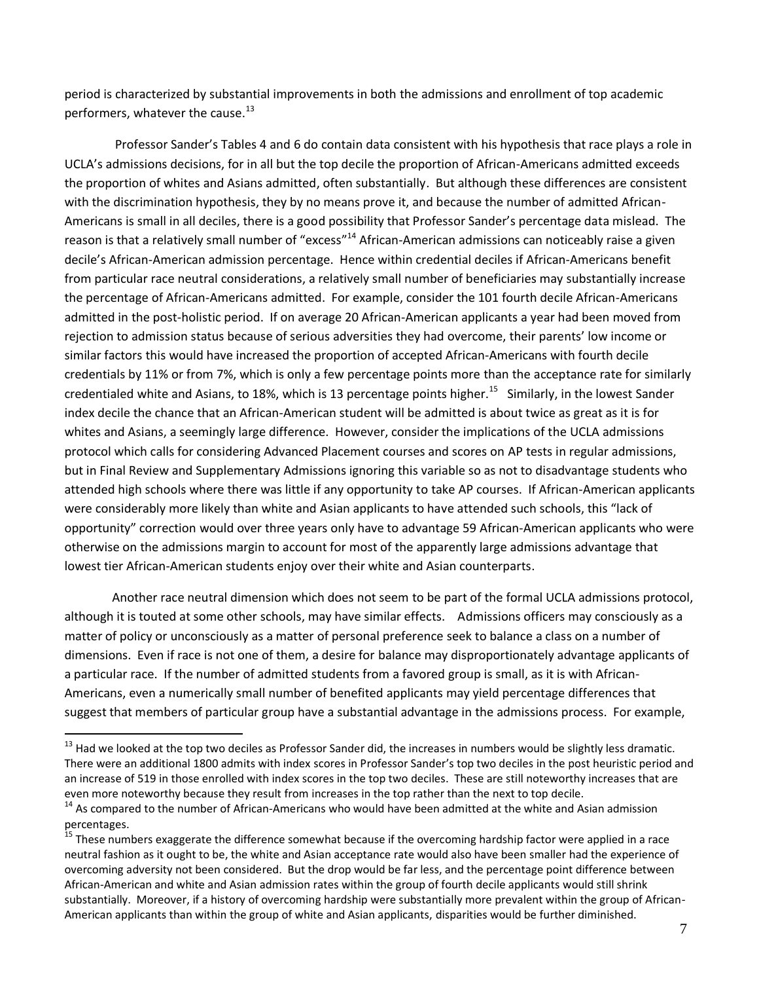period is characterized by substantial improvements in both the admissions and enrollment of top academic performers, whatever the cause.<sup>13</sup>

 Professor Sander's Tables 4 and 6 do contain data consistent with his hypothesis that race plays a role in UCLA's admissions decisions, for in all but the top decile the proportion of African-Americans admitted exceeds the proportion of whites and Asians admitted, often substantially. But although these differences are consistent with the discrimination hypothesis, they by no means prove it, and because the number of admitted African-Americans is small in all deciles, there is a good possibility that Professor Sander's percentage data mislead. The reason is that a relatively small number of "excess"<sup>14</sup> African-American admissions can noticeably raise a given decile's African-American admission percentage. Hence within credential deciles if African-Americans benefit from particular race neutral considerations, a relatively small number of beneficiaries may substantially increase the percentage of African-Americans admitted. For example, consider the 101 fourth decile African-Americans admitted in the post-holistic period. If on average 20 African-American applicants a year had been moved from rejection to admission status because of serious adversities they had overcome, their parents' low income or similar factors this would have increased the proportion of accepted African-Americans with fourth decile credentials by 11% or from 7%, which is only a few percentage points more than the acceptance rate for similarly credentialed white and Asians, to 18%, which is 13 percentage points higher.<sup>15</sup> Similarly, in the lowest Sander index decile the chance that an African-American student will be admitted is about twice as great as it is for whites and Asians, a seemingly large difference. However, consider the implications of the UCLA admissions protocol which calls for considering Advanced Placement courses and scores on AP tests in regular admissions, but in Final Review and Supplementary Admissions ignoring this variable so as not to disadvantage students who attended high schools where there was little if any opportunity to take AP courses. If African-American applicants were considerably more likely than white and Asian applicants to have attended such schools, this "lack of opportunity" correction would over three years only have to advantage 59 African-American applicants who were otherwise on the admissions margin to account for most of the apparently large admissions advantage that lowest tier African-American students enjoy over their white and Asian counterparts.

Another race neutral dimension which does not seem to be part of the formal UCLA admissions protocol, although it is touted at some other schools, may have similar effects. Admissions officers may consciously as a matter of policy or unconsciously as a matter of personal preference seek to balance a class on a number of dimensions. Even if race is not one of them, a desire for balance may disproportionately advantage applicants of a particular race. If the number of admitted students from a favored group is small, as it is with African-Americans, even a numerically small number of benefited applicants may yield percentage differences that suggest that members of particular group have a substantial advantage in the admissions process. For example,

<sup>&</sup>lt;sup>13</sup> Had we looked at the top two deciles as Professor Sander did, the increases in numbers would be slightly less dramatic. There were an additional 1800 admits with index scores in Professor Sander's top two deciles in the post heuristic period and an increase of 519 in those enrolled with index scores in the top two deciles. These are still noteworthy increases that are even more noteworthy because they result from increases in the top rather than the next to top decile.

<sup>&</sup>lt;sup>14</sup> As compared to the number of African-Americans who would have been admitted at the white and Asian admission percentages.

<sup>&</sup>lt;sup>15</sup> These numbers exaggerate the difference somewhat because if the overcoming hardship factor were applied in a race neutral fashion as it ought to be, the white and Asian acceptance rate would also have been smaller had the experience of overcoming adversity not been considered. But the drop would be far less, and the percentage point difference between African-American and white and Asian admission rates within the group of fourth decile applicants would still shrink substantially. Moreover, if a history of overcoming hardship were substantially more prevalent within the group of African-American applicants than within the group of white and Asian applicants, disparities would be further diminished.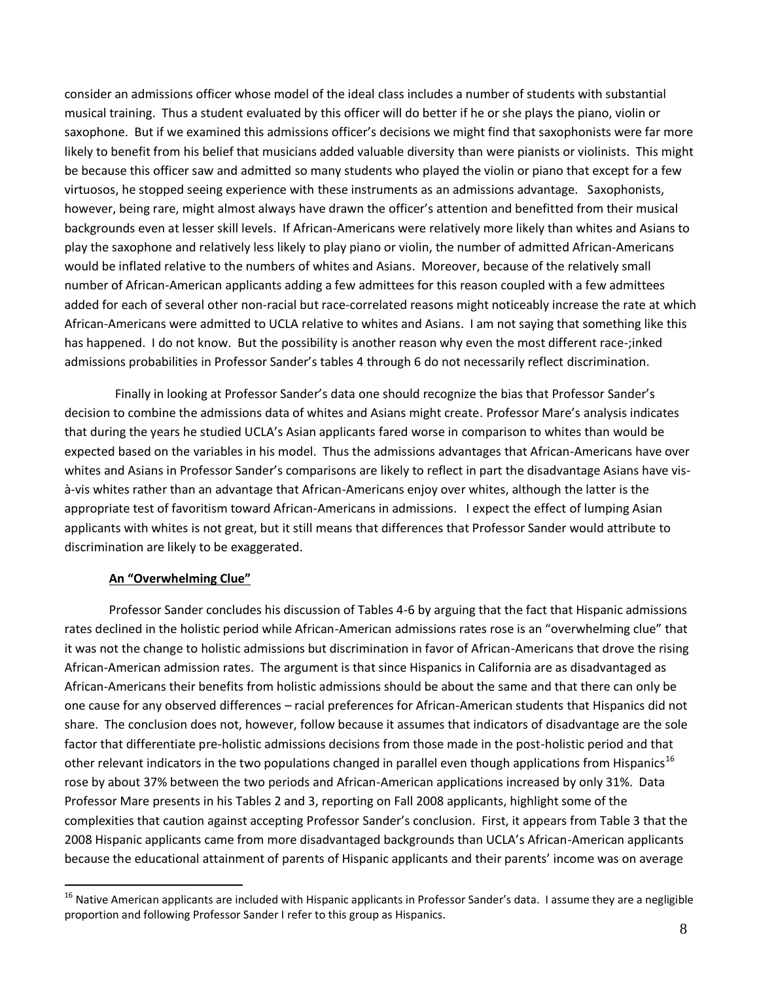consider an admissions officer whose model of the ideal class includes a number of students with substantial musical training. Thus a student evaluated by this officer will do better if he or she plays the piano, violin or saxophone. But if we examined this admissions officer's decisions we might find that saxophonists were far more likely to benefit from his belief that musicians added valuable diversity than were pianists or violinists. This might be because this officer saw and admitted so many students who played the violin or piano that except for a few virtuosos, he stopped seeing experience with these instruments as an admissions advantage. Saxophonists, however, being rare, might almost always have drawn the officer's attention and benefitted from their musical backgrounds even at lesser skill levels. If African-Americans were relatively more likely than whites and Asians to play the saxophone and relatively less likely to play piano or violin, the number of admitted African-Americans would be inflated relative to the numbers of whites and Asians. Moreover, because of the relatively small number of African-American applicants adding a few admittees for this reason coupled with a few admittees added for each of several other non-racial but race-correlated reasons might noticeably increase the rate at which African-Americans were admitted to UCLA relative to whites and Asians. I am not saying that something like this has happened. I do not know. But the possibility is another reason why even the most different race-;inked admissions probabilities in Professor Sander's tables 4 through 6 do not necessarily reflect discrimination.

 Finally in looking at Professor Sander's data one should recognize the bias that Professor Sander's decision to combine the admissions data of whites and Asians might create. Professor Mare's analysis indicates that during the years he studied UCLA's Asian applicants fared worse in comparison to whites than would be expected based on the variables in his model. Thus the admissions advantages that African-Americans have over whites and Asians in Professor Sander's comparisons are likely to reflect in part the disadvantage Asians have visà-vis whites rather than an advantage that African-Americans enjoy over whites, although the latter is the appropriate test of favoritism toward African-Americans in admissions. I expect the effect of lumping Asian applicants with whites is not great, but it still means that differences that Professor Sander would attribute to discrimination are likely to be exaggerated.

### **An "Overwhelming Clue"**

1

Professor Sander concludes his discussion of Tables 4-6 by arguing that the fact that Hispanic admissions rates declined in the holistic period while African-American admissions rates rose is an "overwhelming clue" that it was not the change to holistic admissions but discrimination in favor of African-Americans that drove the rising African-American admission rates. The argument is that since Hispanics in California are as disadvantaged as African-Americans their benefits from holistic admissions should be about the same and that there can only be one cause for any observed differences – racial preferences for African-American students that Hispanics did not share. The conclusion does not, however, follow because it assumes that indicators of disadvantage are the sole factor that differentiate pre-holistic admissions decisions from those made in the post-holistic period and that other relevant indicators in the two populations changed in parallel even though applications from Hispanics<sup>16</sup> rose by about 37% between the two periods and African-American applications increased by only 31%. Data Professor Mare presents in his Tables 2 and 3, reporting on Fall 2008 applicants, highlight some of the complexities that caution against accepting Professor Sander's conclusion. First, it appears from Table 3 that the 2008 Hispanic applicants came from more disadvantaged backgrounds than UCLA's African-American applicants because the educational attainment of parents of Hispanic applicants and their parents' income was on average

<sup>&</sup>lt;sup>16</sup> Native American applicants are included with Hispanic applicants in Professor Sander's data. I assume they are a negligible proportion and following Professor Sander I refer to this group as Hispanics.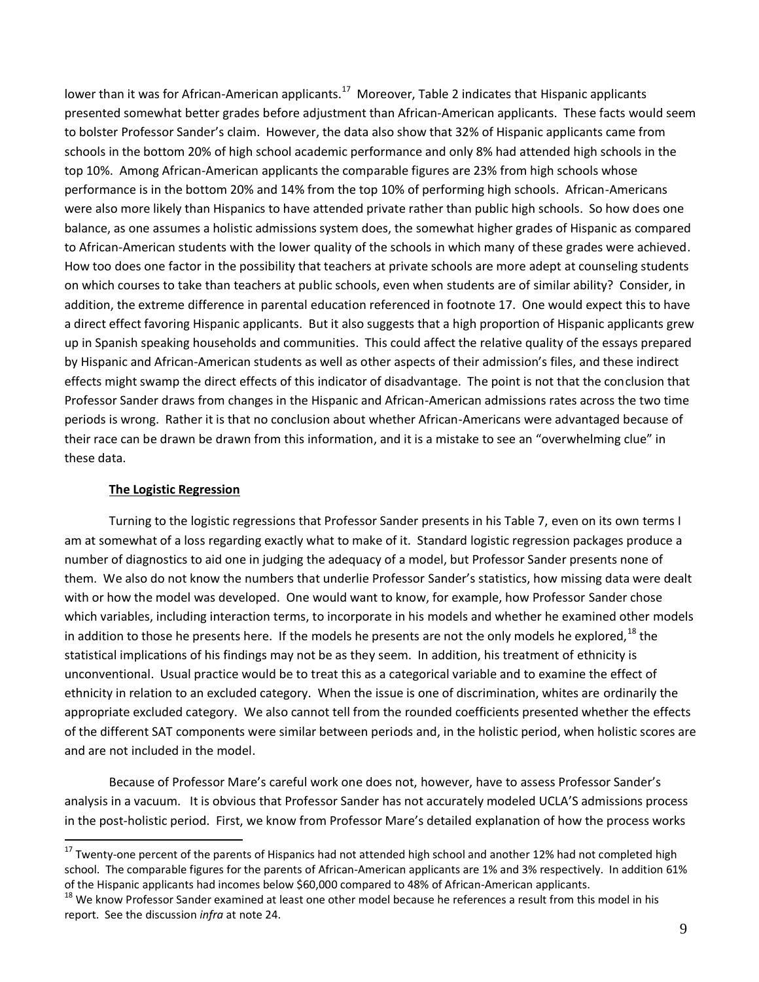lower than it was for African-American applicants.<sup>17</sup> Moreover, Table 2 indicates that Hispanic applicants presented somewhat better grades before adjustment than African-American applicants. These facts would seem to bolster Professor Sander's claim. However, the data also show that 32% of Hispanic applicants came from schools in the bottom 20% of high school academic performance and only 8% had attended high schools in the top 10%. Among African-American applicants the comparable figures are 23% from high schools whose performance is in the bottom 20% and 14% from the top 10% of performing high schools. African-Americans were also more likely than Hispanics to have attended private rather than public high schools. So how does one balance, as one assumes a holistic admissions system does, the somewhat higher grades of Hispanic as compared to African-American students with the lower quality of the schools in which many of these grades were achieved. How too does one factor in the possibility that teachers at private schools are more adept at counseling students on which courses to take than teachers at public schools, even when students are of similar ability? Consider, in addition, the extreme difference in parental education referenced in footnote 17. One would expect this to have a direct effect favoring Hispanic applicants. But it also suggests that a high proportion of Hispanic applicants grew up in Spanish speaking households and communities. This could affect the relative quality of the essays prepared by Hispanic and African-American students as well as other aspects of their admission's files, and these indirect effects might swamp the direct effects of this indicator of disadvantage. The point is not that the conclusion that Professor Sander draws from changes in the Hispanic and African-American admissions rates across the two time periods is wrong. Rather it is that no conclusion about whether African-Americans were advantaged because of their race can be drawn be drawn from this information, and it is a mistake to see an "overwhelming clue" in these data.

#### **The Logistic Regression**

 $\overline{a}$ 

Turning to the logistic regressions that Professor Sander presents in his Table 7, even on its own terms I am at somewhat of a loss regarding exactly what to make of it. Standard logistic regression packages produce a number of diagnostics to aid one in judging the adequacy of a model, but Professor Sander presents none of them. We also do not know the numbers that underlie Professor Sander's statistics, how missing data were dealt with or how the model was developed. One would want to know, for example, how Professor Sander chose which variables, including interaction terms, to incorporate in his models and whether he examined other models in addition to those he presents here. If the models he presents are not the only models he explored,  $^{18}$  the statistical implications of his findings may not be as they seem. In addition, his treatment of ethnicity is unconventional. Usual practice would be to treat this as a categorical variable and to examine the effect of ethnicity in relation to an excluded category. When the issue is one of discrimination, whites are ordinarily the appropriate excluded category. We also cannot tell from the rounded coefficients presented whether the effects of the different SAT components were similar between periods and, in the holistic period, when holistic scores are and are not included in the model.

Because of Professor Mare's careful work one does not, however, have to assess Professor Sander's analysis in a vacuum. It is obvious that Professor Sander has not accurately modeled UCLA'S admissions process in the post-holistic period. First, we know from Professor Mare's detailed explanation of how the process works

<sup>&</sup>lt;sup>17</sup> Twenty-one percent of the parents of Hispanics had not attended high school and another 12% had not completed high school. The comparable figures for the parents of African-American applicants are 1% and 3% respectively. In addition 61% of the Hispanic applicants had incomes below \$60,000 compared to 48% of African-American applicants.

<sup>&</sup>lt;sup>18</sup> We know Professor Sander examined at least one other model because he references a result from this model in his report. See the discussion *infra* at note 24.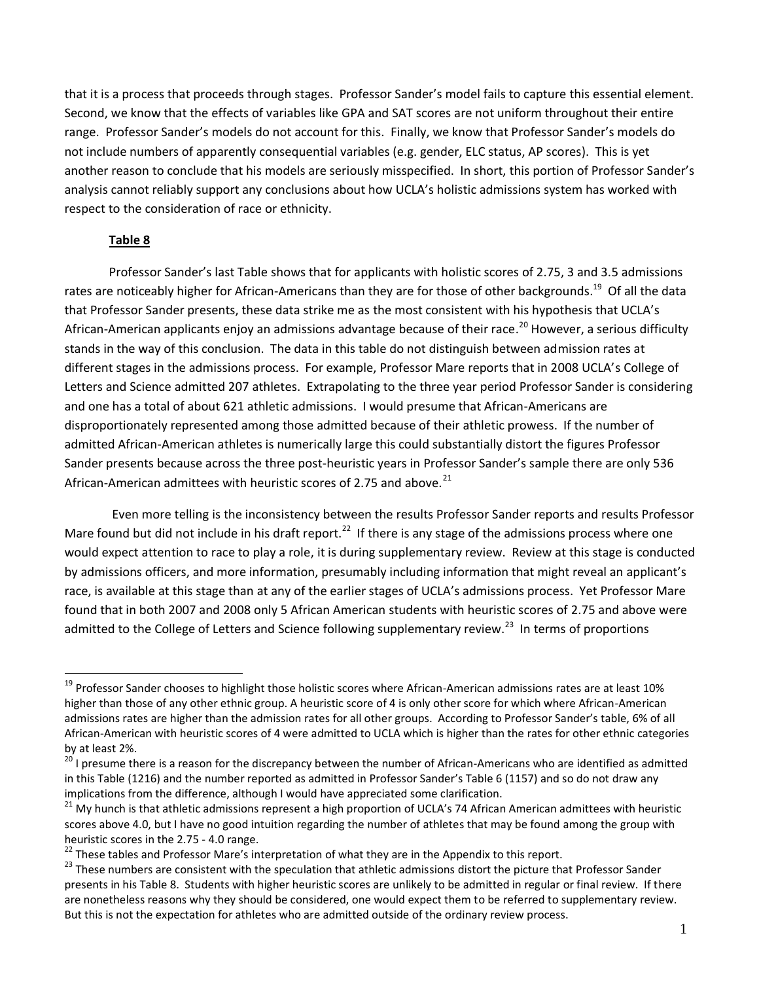that it is a process that proceeds through stages. Professor Sander's model fails to capture this essential element. Second, we know that the effects of variables like GPA and SAT scores are not uniform throughout their entire range. Professor Sander's models do not account for this. Finally, we know that Professor Sander's models do not include numbers of apparently consequential variables (e.g. gender, ELC status, AP scores). This is yet another reason to conclude that his models are seriously misspecified. In short, this portion of Professor Sander's analysis cannot reliably support any conclusions about how UCLA's holistic admissions system has worked with respect to the consideration of race or ethnicity.

#### **Table 8**

 $\overline{a}$ 

Professor Sander's last Table shows that for applicants with holistic scores of 2.75, 3 and 3.5 admissions rates are noticeably higher for African-Americans than they are for those of other backgrounds.<sup>19</sup> Of all the data that Professor Sander presents, these data strike me as the most consistent with his hypothesis that UCLA's African-American applicants enjoy an admissions advantage because of their race.<sup>20</sup> However, a serious difficulty stands in the way of this conclusion. The data in this table do not distinguish between admission rates at different stages in the admissions process. For example, Professor Mare reports that in 2008 UCLA's College of Letters and Science admitted 207 athletes. Extrapolating to the three year period Professor Sander is considering and one has a total of about 621 athletic admissions. I would presume that African-Americans are disproportionately represented among those admitted because of their athletic prowess. If the number of admitted African-American athletes is numerically large this could substantially distort the figures Professor Sander presents because across the three post-heuristic years in Professor Sander's sample there are only 536 African-American admittees with heuristic scores of 2.75 and above. $^{21}$ 

Even more telling is the inconsistency between the results Professor Sander reports and results Professor Mare found but did not include in his draft report.<sup>22</sup> If there is any stage of the admissions process where one would expect attention to race to play a role, it is during supplementary review. Review at this stage is conducted by admissions officers, and more information, presumably including information that might reveal an applicant's race, is available at this stage than at any of the earlier stages of UCLA's admissions process. Yet Professor Mare found that in both 2007 and 2008 only 5 African American students with heuristic scores of 2.75 and above were admitted to the College of Letters and Science following supplementary review.<sup>23</sup> In terms of proportions

 $19$  Professor Sander chooses to highlight those holistic scores where African-American admissions rates are at least 10% higher than those of any other ethnic group. A heuristic score of 4 is only other score for which where African-American admissions rates are higher than the admission rates for all other groups. According to Professor Sander's table, 6% of all African-American with heuristic scores of 4 were admitted to UCLA which is higher than the rates for other ethnic categories by at least 2%.

<sup>&</sup>lt;sup>20</sup> I presume there is a reason for the discrepancy between the number of African-Americans who are identified as admitted in this Table (1216) and the number reported as admitted in Professor Sander's Table 6 (1157) and so do not draw any implications from the difference, although I would have appreciated some clarification.

<sup>&</sup>lt;sup>21</sup> My hunch is that athletic admissions represent a high proportion of UCLA's 74 African American admittees with heuristic scores above 4.0, but I have no good intuition regarding the number of athletes that may be found among the group with heuristic scores in the 2.75 - 4.0 range.

<sup>&</sup>lt;sup>22</sup> These tables and Professor Mare's interpretation of what they are in the Appendix to this report.

<sup>&</sup>lt;sup>23</sup> These numbers are consistent with the speculation that athletic admissions distort the picture that Professor Sander presents in his Table 8. Students with higher heuristic scores are unlikely to be admitted in regular or final review. If there are nonetheless reasons why they should be considered, one would expect them to be referred to supplementary review. But this is not the expectation for athletes who are admitted outside of the ordinary review process.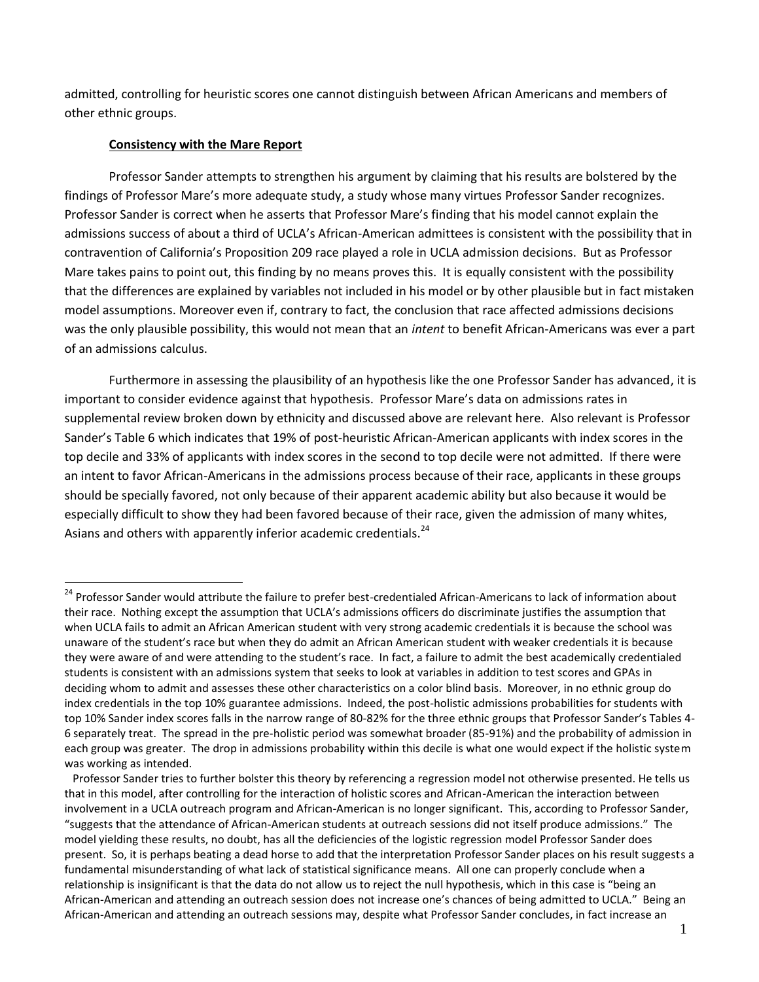admitted, controlling for heuristic scores one cannot distinguish between African Americans and members of other ethnic groups.

#### **Consistency with the Mare Report**

 $\overline{a}$ 

Professor Sander attempts to strengthen his argument by claiming that his results are bolstered by the findings of Professor Mare's more adequate study, a study whose many virtues Professor Sander recognizes. Professor Sander is correct when he asserts that Professor Mare's finding that his model cannot explain the admissions success of about a third of UCLA's African-American admittees is consistent with the possibility that in contravention of California's Proposition 209 race played a role in UCLA admission decisions. But as Professor Mare takes pains to point out, this finding by no means proves this. It is equally consistent with the possibility that the differences are explained by variables not included in his model or by other plausible but in fact mistaken model assumptions. Moreover even if, contrary to fact, the conclusion that race affected admissions decisions was the only plausible possibility, this would not mean that an *intent* to benefit African-Americans was ever a part of an admissions calculus.

Furthermore in assessing the plausibility of an hypothesis like the one Professor Sander has advanced, it is important to consider evidence against that hypothesis. Professor Mare's data on admissions rates in supplemental review broken down by ethnicity and discussed above are relevant here. Also relevant is Professor Sander's Table 6 which indicates that 19% of post-heuristic African-American applicants with index scores in the top decile and 33% of applicants with index scores in the second to top decile were not admitted. If there were an intent to favor African-Americans in the admissions process because of their race, applicants in these groups should be specially favored, not only because of their apparent academic ability but also because it would be especially difficult to show they had been favored because of their race, given the admission of many whites, Asians and others with apparently inferior academic credentials.<sup>24</sup>

<sup>&</sup>lt;sup>24</sup> Professor Sander would attribute the failure to prefer best-credentialed African-Americans to lack of information about their race. Nothing except the assumption that UCLA's admissions officers do discriminate justifies the assumption that when UCLA fails to admit an African American student with very strong academic credentials it is because the school was unaware of the student's race but when they do admit an African American student with weaker credentials it is because they were aware of and were attending to the student's race. In fact, a failure to admit the best academically credentialed students is consistent with an admissions system that seeks to look at variables in addition to test scores and GPAs in deciding whom to admit and assesses these other characteristics on a color blind basis. Moreover, in no ethnic group do index credentials in the top 10% guarantee admissions. Indeed, the post-holistic admissions probabilities for students with top 10% Sander index scores falls in the narrow range of 80-82% for the three ethnic groups that Professor Sander's Tables 4- 6 separately treat. The spread in the pre-holistic period was somewhat broader (85-91%) and the probability of admission in each group was greater. The drop in admissions probability within this decile is what one would expect if the holistic system was working as intended.

Professor Sander tries to further bolster this theory by referencing a regression model not otherwise presented. He tells us that in this model, after controlling for the interaction of holistic scores and African-American the interaction between involvement in a UCLA outreach program and African-American is no longer significant. This, according to Professor Sander, "suggests that the attendance of African-American students at outreach sessions did not itself produce admissions." The model yielding these results, no doubt, has all the deficiencies of the logistic regression model Professor Sander does present. So, it is perhaps beating a dead horse to add that the interpretation Professor Sander places on his result suggests a fundamental misunderstanding of what lack of statistical significance means. All one can properly conclude when a relationship is insignificant is that the data do not allow us to reject the null hypothesis, which in this case is "being an African-American and attending an outreach session does not increase one's chances of being admitted to UCLA." Being an African-American and attending an outreach sessions may, despite what Professor Sander concludes, in fact increase an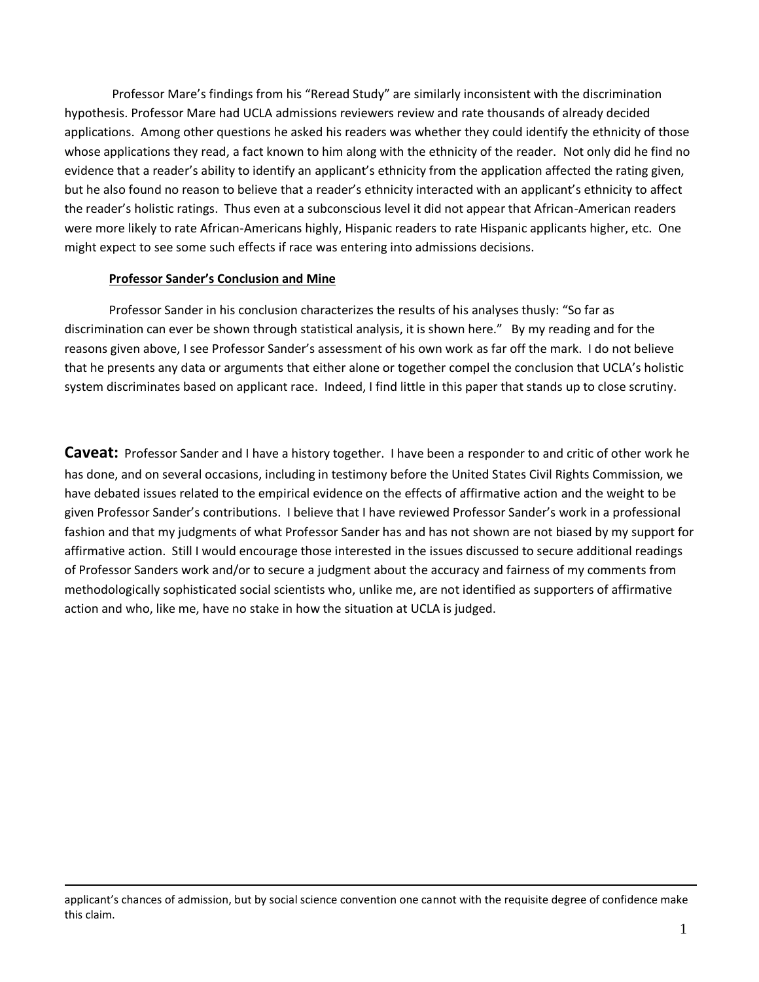Professor Mare's findings from his "Reread Study" are similarly inconsistent with the discrimination hypothesis. Professor Mare had UCLA admissions reviewers review and rate thousands of already decided applications. Among other questions he asked his readers was whether they could identify the ethnicity of those whose applications they read, a fact known to him along with the ethnicity of the reader. Not only did he find no evidence that a reader's ability to identify an applicant's ethnicity from the application affected the rating given, but he also found no reason to believe that a reader's ethnicity interacted with an applicant's ethnicity to affect the reader's holistic ratings. Thus even at a subconscious level it did not appear that African-American readers were more likely to rate African-Americans highly, Hispanic readers to rate Hispanic applicants higher, etc. One might expect to see some such effects if race was entering into admissions decisions.

#### **Professor Sander's Conclusion and Mine**

1

Professor Sander in his conclusion characterizes the results of his analyses thusly: "So far as discrimination can ever be shown through statistical analysis, it is shown here." By my reading and for the reasons given above, I see Professor Sander's assessment of his own work as far off the mark. I do not believe that he presents any data or arguments that either alone or together compel the conclusion that UCLA's holistic system discriminates based on applicant race. Indeed, I find little in this paper that stands up to close scrutiny.

**Caveat:** Professor Sander and I have a history together. I have been a responder to and critic of other work he has done, and on several occasions, including in testimony before the United States Civil Rights Commission, we have debated issues related to the empirical evidence on the effects of affirmative action and the weight to be given Professor Sander's contributions. I believe that I have reviewed Professor Sander's work in a professional fashion and that my judgments of what Professor Sander has and has not shown are not biased by my support for affirmative action. Still I would encourage those interested in the issues discussed to secure additional readings of Professor Sanders work and/or to secure a judgment about the accuracy and fairness of my comments from methodologically sophisticated social scientists who, unlike me, are not identified as supporters of affirmative action and who, like me, have no stake in how the situation at UCLA is judged.

applicant's chances of admission, but by social science convention one cannot with the requisite degree of confidence make this claim.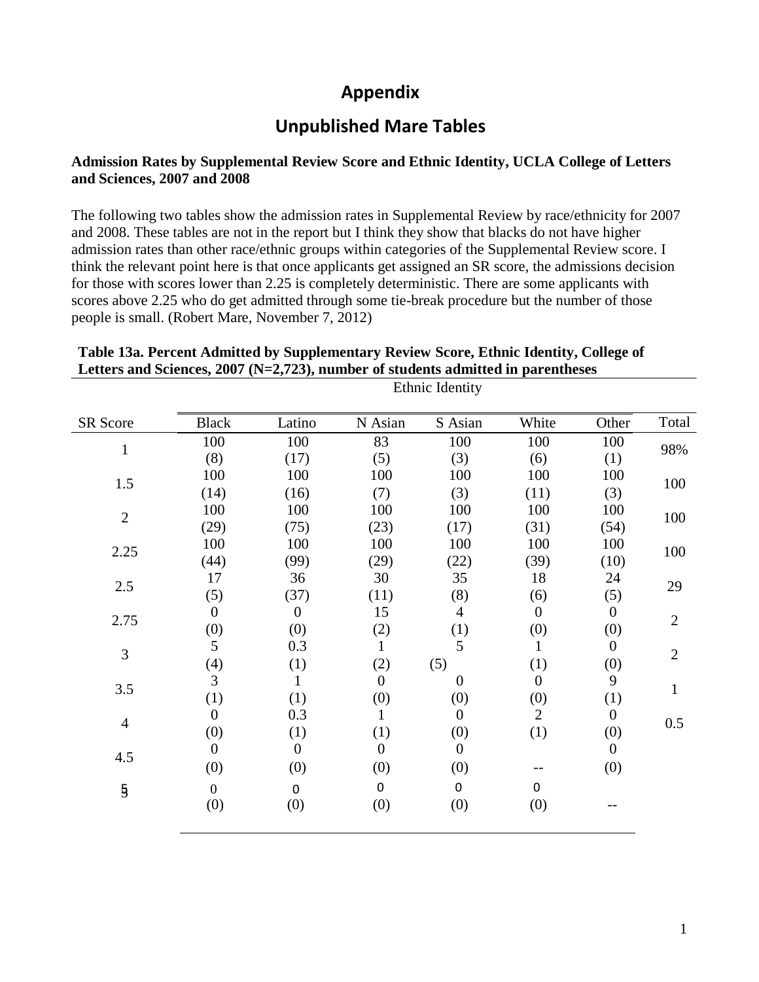# **Appendix**

# **Unpublished Mare Tables**

## **Admission Rates by Supplemental Review Score and Ethnic Identity, UCLA College of Letters and Sciences, 2007 and 2008**

The following two tables show the admission rates in Supplemental Review by race/ethnicity for 2007 and 2008. These tables are not in the report but I think they show that blacks do not have higher admission rates than other race/ethnic groups within categories of the Supplemental Review score. I think the relevant point here is that once applicants get assigned an SR score, the admissions decision for those with scores lower than 2.25 is completely deterministic. There are some applicants with scores above 2.25 who do get admitted through some tie-break procedure but the number of those people is small. (Robert Mare, November 7, 2012)

## **Table 13a. Percent Admitted by Supplementary Review Score, Ethnic Identity, College of Letters and Sciences, 2007 (N=2,723), number of students admitted in parentheses**

Ethnic Identity

| <b>SR Score</b> | <b>Black</b>     | Latino           | N Asian        | S Asian          | White            | Other          | Total          |
|-----------------|------------------|------------------|----------------|------------------|------------------|----------------|----------------|
| $\mathbf{1}$    | 100              | 100              | 83             | 100              | 100              | 100            | 98%            |
|                 | (8)              | (17)             | (5)            | (3)              | (6)              | (1)            |                |
| 1.5             | 100              | 100              | 100            | 100              | 100              | 100            | 100            |
|                 | (14)             | (16)             | (7)            | (3)              | (11)             | (3)            |                |
| $\overline{2}$  | 100              | 100              | 100            | 100              | 100              | 100            |                |
|                 | (29)             | (75)             | (23)           | (17)             | (31)             | (54)           | 100            |
| 2.25            | 100              | 100              | 100            | 100              | 100              | 100            | 100            |
|                 | (44)             | (99)             | (29)           | (22)             | (39)             | (10)           |                |
| 2.5             | 17               | 36               | 30             | 35               | 18               | 24             | 29             |
|                 | (5)              | (37)             | (11)           | (8)              | (6)              | (5)            |                |
| 2.75            | $\boldsymbol{0}$ | $\boldsymbol{0}$ | 15             | 4                | $\theta$         | $\overline{0}$ | $\overline{2}$ |
|                 | (0)              | (0)              | (2)            | (1)              | (0)              | (0)            |                |
| 3               | 5                | 0.3              | $\mathbf{1}$   | 5                | 1                | $\overline{0}$ | $\overline{2}$ |
|                 | (4)              | (1)              | (2)            | (5)              | (1)              | (0)            |                |
| 3.5             | $\mathfrak{Z}$   |                  | $\overline{0}$ | $\theta$         | $\boldsymbol{0}$ | 9              |                |
|                 | (1)              | (1)              | (0)            | (0)              | (0)              | (1)            |                |
| $\overline{4}$  | $\boldsymbol{0}$ | 0.3              | $\mathbf{1}$   | $\overline{0}$   | $\overline{2}$   | $\overline{0}$ | 0.5            |
|                 | (0)              | (1)              | (1)            | (0)              | (1)              | (0)            |                |
| 4.5             | $\boldsymbol{0}$ | $\boldsymbol{0}$ | $\overline{0}$ | $\boldsymbol{0}$ |                  | $\overline{0}$ |                |
|                 | (0)              | (0)              | (0)            | (0)              |                  | (0)            |                |
| $\overline{5}$  | $\boldsymbol{0}$ | $\pmb{0}$        | $\pmb{0}$      | $\mathbf 0$      | $\mathbf 0$      |                |                |
|                 | (0)              | (0)              | (0)            | (0)              | (0)              |                |                |

٦